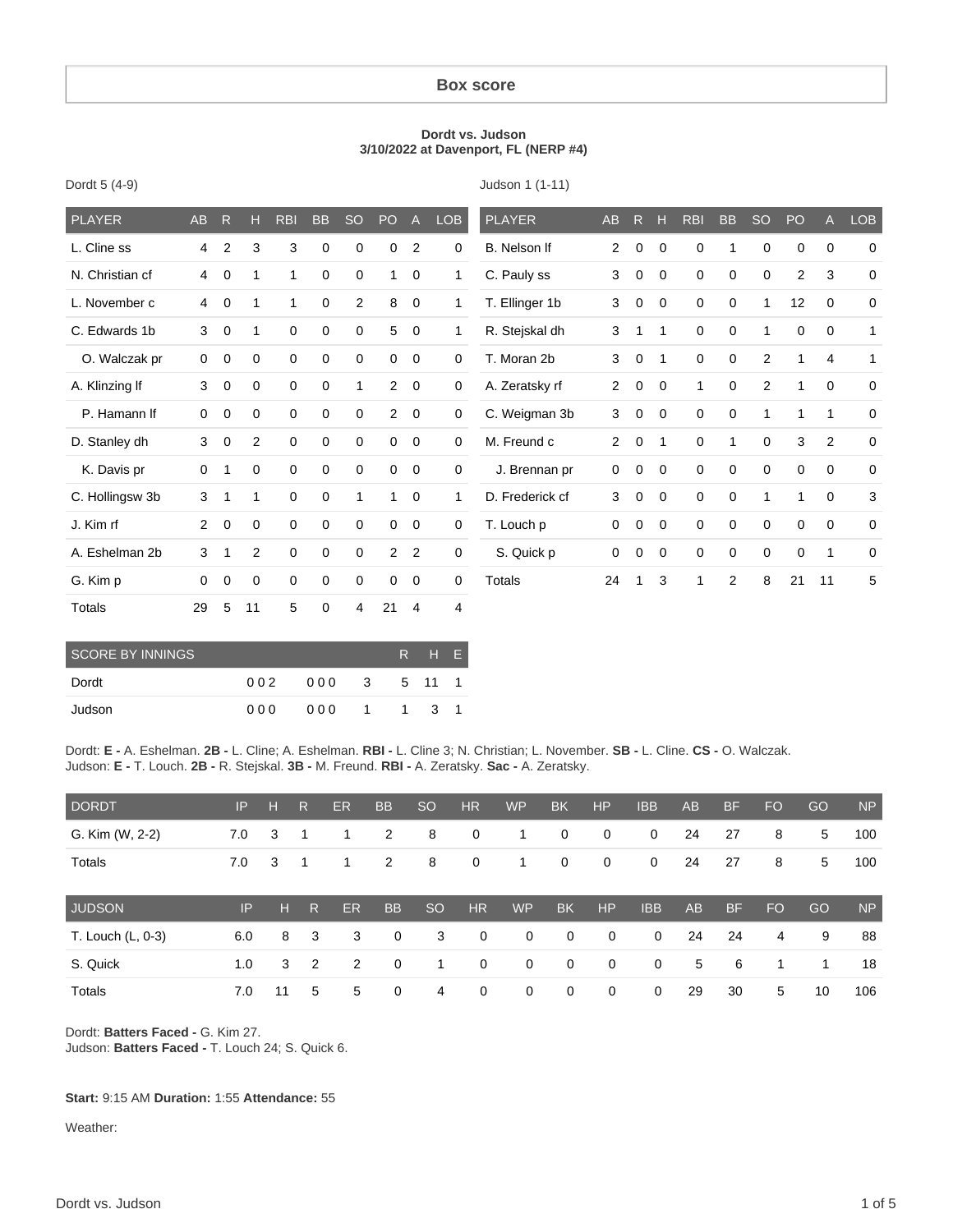#### **Box score**

#### **Dordt vs. Judson 3/10/2022 at Davenport, FL (NERP #4)**

Judson 1 (1-11)

| <b>PLAYER</b>   | AB             | $\overline{R}$ | н              | <b>RBI</b>  | <b>BB</b>   | <b>SO</b>      | PO             | $\mathsf{A}$   | <b>LOB</b>     | <b>PLAYER</b>   | AB             | R           | $\mathbf{H}$ | <b>RBI</b>   | <b>BB</b>   | <b>SO</b>      | PO <sub>1</sub> | $\mathsf{A}$ | <b>LOB</b>   |
|-----------------|----------------|----------------|----------------|-------------|-------------|----------------|----------------|----------------|----------------|-----------------|----------------|-------------|--------------|--------------|-------------|----------------|-----------------|--------------|--------------|
| L. Cline ss     | $\overline{4}$ | 2              | 3              | 3           | $\mathbf 0$ | 0              | $\mathbf 0$    | $\overline{2}$ | $\mathbf 0$    | B. Nelson If    | $\overline{2}$ | $\mathbf 0$ | $\mathbf 0$  | 0            | 1           | $\mathbf 0$    | $\mathbf 0$     | $\mathbf 0$  | $\mathbf 0$  |
| N. Christian cf | 4              | $\mathbf 0$    | 1              | 1           | 0           | 0              | $\mathbf{1}$   | $\mathbf 0$    | $\mathbf{1}$   | C. Pauly ss     | 3              | 0           | 0            | 0            | 0           | $\mathbf 0$    | $\overline{c}$  | 3            | $\mathbf 0$  |
| L. November c   | 4              | $\mathbf 0$    | 1              | 1.          | 0           | $\overline{2}$ | 8              | $\mathbf 0$    | 1              | T. Ellinger 1b  | 3              | $\mathbf 0$ | $\mathbf 0$  | $\mathbf 0$  | $\mathbf 0$ | $\mathbf{1}$   | 12              | $\mathbf 0$  | 0            |
| C. Edwards 1b   | 3              | $\mathbf 0$    | 1              | $\mathbf 0$ | 0           | 0              | 5              | $\mathbf 0$    | 1              | R. Stejskal dh  | 3              | 1           | 1            | 0            | 0           | 1              | $\mathbf 0$     | $\mathbf 0$  | 1            |
| O. Walczak pr   | $\mathbf 0$    | $\mathbf 0$    | 0              | $\mathbf 0$ | $\mathbf 0$ | 0              | $\mathbf 0$    | $\mathbf 0$    | $\mathbf 0$    | T. Moran 2b     | 3              | $\mathbf 0$ | 1            | $\mathbf 0$  | $\mathbf 0$ | 2              | 1               | 4            | $\mathbf{1}$ |
| A. Klinzing If  | 3              | $\mathbf 0$    | 0              | $\mathbf 0$ | $\mathbf 0$ | 1              | $\overline{2}$ | $\mathbf 0$    | $\mathbf 0$    | A. Zeratsky rf  | $\overline{2}$ | $\mathbf 0$ | $\mathbf 0$  | $\mathbf{1}$ | $\mathbf 0$ | $\overline{2}$ | $\mathbf 1$     | 0            | $\mathbf 0$  |
| P. Hamann If    | $\mathbf 0$    | $\mathbf 0$    | 0              | 0           | $\mathbf 0$ | 0              | $\overline{2}$ | $\overline{0}$ | $\mathbf 0$    | C. Weigman 3b   | 3              | $\mathbf 0$ | $\mathbf 0$  | 0            | $\mathbf 0$ | 1              | 1               | 1            | 0            |
| D. Stanley dh   | 3              | $\mathbf 0$    | $\overline{2}$ | 0           | $\mathbf 0$ | 0              | $\mathbf 0$    | $\mathbf 0$    | $\mathbf 0$    | M. Freund c     | $\overline{2}$ | $\mathbf 0$ | 1            | $\mathbf 0$  | 1           | $\mathbf 0$    | 3               | 2            | $\mathbf 0$  |
| K. Davis pr     | $\mathbf 0$    | 1              | 0              | $\mathbf 0$ | $\mathbf 0$ | $\mathbf 0$    | $\mathbf 0$    | $\mathbf 0$    | $\mathbf 0$    | J. Brennan pr   | $\mathbf 0$    | $\mathbf 0$ | $\mathbf 0$  | $\mathbf 0$  | $\mathbf 0$ | $\mathbf 0$    | $\mathbf 0$     | 0            | $\mathbf 0$  |
| C. Hollingsw 3b | 3              | -1             | 1              | $\mathbf 0$ | $\mathbf 0$ | 1              | $\mathbf{1}$   | $\mathbf 0$    | $\mathbf{1}$   | D. Frederick cf | 3              | $\mathbf 0$ | 0            | $\mathbf 0$  | $\mathbf 0$ | 1              | 1               | 0            | 3            |
| J. Kim rf       | $\overline{2}$ | $\overline{0}$ | 0              | 0           | $\mathbf 0$ | 0              | $\mathbf 0$    | $\mathbf 0$    | $\mathbf 0$    | T. Louch p      | $\mathbf 0$    | $\mathbf 0$ | $\mathbf 0$  | $\mathbf 0$  | $\mathbf 0$ | $\mathbf 0$    | $\mathbf 0$     | $\mathbf 0$  | $\mathbf 0$  |
| A. Eshelman 2b  | 3              | 1              | $\overline{2}$ | $\mathbf 0$ | $\mathbf 0$ | 0              | $\overline{2}$ | $\overline{2}$ | $\mathbf 0$    | S. Quick p      | 0              | $\mathbf 0$ | 0            | 0            | $\mathbf 0$ | $\mathbf 0$    | 0               | 1            | $\mathbf 0$  |
| G. Kim p        | $\mathbf 0$    | $\mathbf 0$    | $\mathbf 0$    | 0           | 0           | 0              | 0              | $\mathbf 0$    | 0              | Totals          | 24             | 1           | 3            | 1            | 2           | 8              | 21              | 11           | 5            |
| <b>Totals</b>   | 29             | 5              | 11             | 5           | $\mathbf 0$ | 4              | 21             | $\overline{4}$ | $\overline{4}$ |                 |                |             |              |              |             |                |                 |              |              |

| SCORE BY INNINGS | R H E |              |         |  |  |
|------------------|-------|--------------|---------|--|--|
| Dordt            | 002   | 000 3 5 11 1 |         |  |  |
| Judson           | 000   | 000          | 1 1 3 1 |  |  |

Dordt: **E -** A. Eshelman. **2B -** L. Cline; A. Eshelman. **RBI -** L. Cline 3; N. Christian; L. November. **SB -** L. Cline. **CS -** O. Walczak. Judson: **E -** T. Louch. **2B -** R. Stejskal. **3B -** M. Freund. **RBI -** A. Zeratsky. **Sac -** A. Zeratsky.

| <b>DORDT</b>      | IP. | - H | R              | <b>ER</b> | <b>BB</b>   | <sub>SO</sub> | <b>HR</b>    | <b>WP</b>   | <b>BK</b>   | HP           | <b>IBB</b>  | AB | <b>BF</b> | <b>FO</b> | GO | <b>NP</b> |
|-------------------|-----|-----|----------------|-----------|-------------|---------------|--------------|-------------|-------------|--------------|-------------|----|-----------|-----------|----|-----------|
| G. Kim (W, 2-2)   | 7.0 | 3   |                |           | 2           | 8             | 0            |             | 0           | 0            | 0           | 24 | 27        | 8         | 5  | 100       |
| <b>Totals</b>     | 7.0 | 3   |                |           | 2           | 8             | 0            | 1           | 0           | 0            | 0           | 24 | 27        | 8         | 5  | 100       |
| <b>JUDSON</b>     | IP  | н   | R              | <b>ER</b> | <b>BB</b>   | <sub>SO</sub> | <b>HR</b>    | <b>WP</b>   | <b>BK</b>   | <b>HP</b>    | <b>IBB</b>  | AB | <b>BF</b> | <b>FO</b> | GO | <b>NP</b> |
| T. Louch (L, 0-3) | 6.0 | 8   | 3              | 3         | $\mathbf 0$ | 3             | $\mathbf{0}$ | $\mathbf 0$ | $\mathbf 0$ | $\mathbf{0}$ | $\mathbf 0$ | 24 | 24        | 4         | 9  | 88        |
| S. Quick          | 1.0 | 3   | $\overline{2}$ | 2         | $\mathbf 0$ | 1             | $\mathbf 0$  | 0           | $\mathbf 0$ | $\mathbf{0}$ | $\mathbf 0$ | 5  | 6         | 1         | 1  | 18        |
| Totals            | 7.0 | 11  | 5              | 5         | 0           | 4             | $\mathbf 0$  | 0           | $\mathbf 0$ | 0            | 0           | 29 | 30        | 5         | 10 | 106       |

Dordt: **Batters Faced -** G. Kim 27. Judson: **Batters Faced -** T. Louch 24; S. Quick 6.

#### **Start:** 9:15 AM **Duration:** 1:55 **Attendance:** 55

Weather:

Dordt 5 (4-9)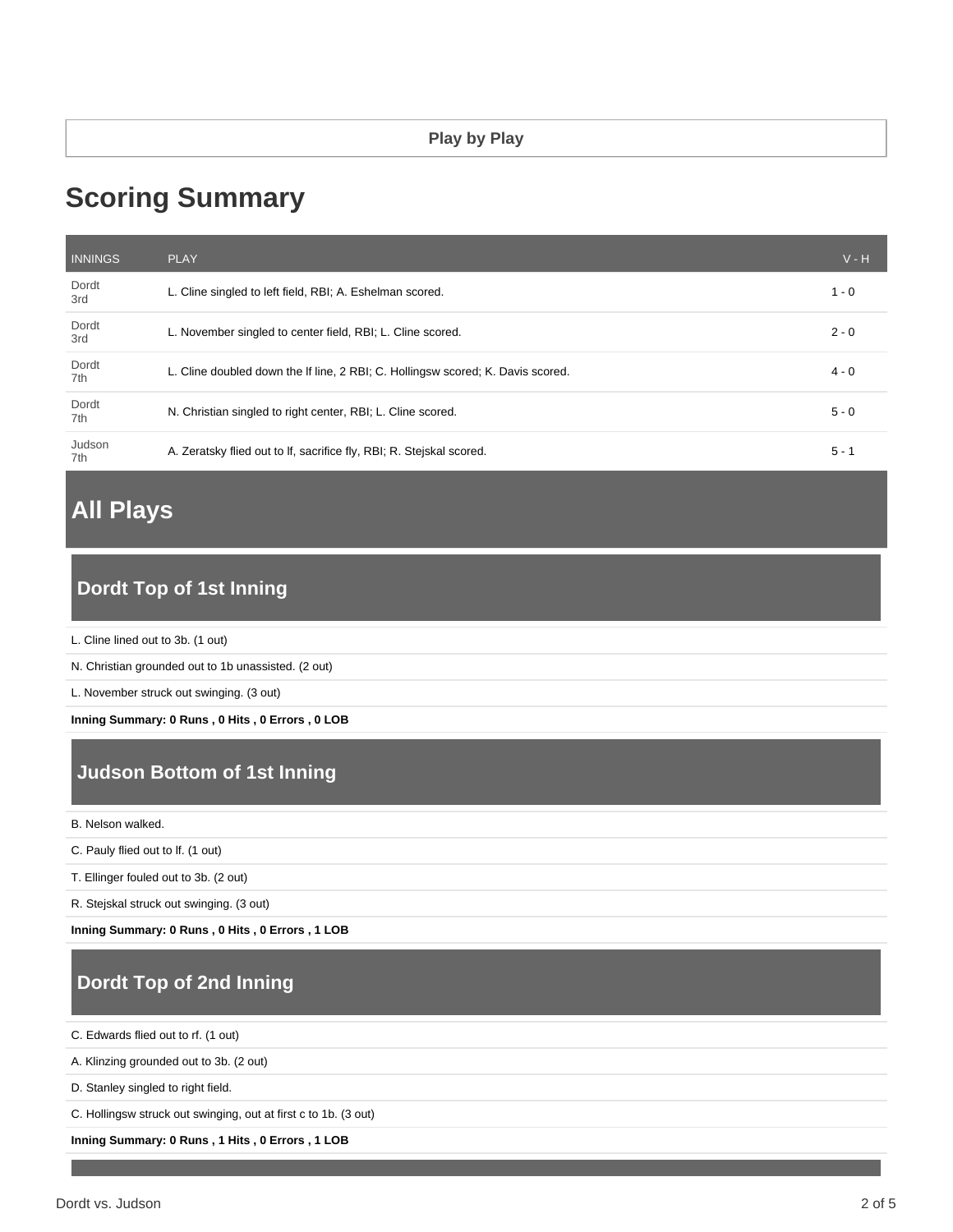# **Scoring Summary**

| <b>INNINGS</b> | <b>PLAY</b>                                                                     | $V - H$ |
|----------------|---------------------------------------------------------------------------------|---------|
| Dordt<br>3rd   | L. Cline singled to left field, RBI; A. Eshelman scored.                        | $1 - 0$ |
| Dordt<br>3rd   | L. November singled to center field, RBI; L. Cline scored.                      | $2 - 0$ |
| Dordt<br>7th   | L. Cline doubled down the If line, 2 RBI; C. Hollingsw scored; K. Davis scored. | $4 - 0$ |
| Dordt<br>7th   | N. Christian singled to right center, RBI; L. Cline scored.                     | $5 - 0$ |
| Judson<br>7th  | A. Zeratsky flied out to If, sacrifice fly, RBI; R. Stejskal scored.            | $5 - 1$ |

# **All Plays**

# **Dordt Top of 1st Inning**

L. Cline lined out to 3b. (1 out)

N. Christian grounded out to 1b unassisted. (2 out)

L. November struck out swinging. (3 out)

**Inning Summary: 0 Runs , 0 Hits , 0 Errors , 0 LOB**

# **Judson Bottom of 1st Inning**

B. Nelson walked.

C. Pauly flied out to lf. (1 out)

T. Ellinger fouled out to 3b. (2 out)

R. Stejskal struck out swinging. (3 out)

**Inning Summary: 0 Runs , 0 Hits , 0 Errors , 1 LOB**

# **Dordt Top of 2nd Inning**

C. Edwards flied out to rf. (1 out)

A. Klinzing grounded out to 3b. (2 out)

D. Stanley singled to right field.

C. Hollingsw struck out swinging, out at first c to 1b. (3 out)

**Inning Summary: 0 Runs , 1 Hits , 0 Errors , 1 LOB**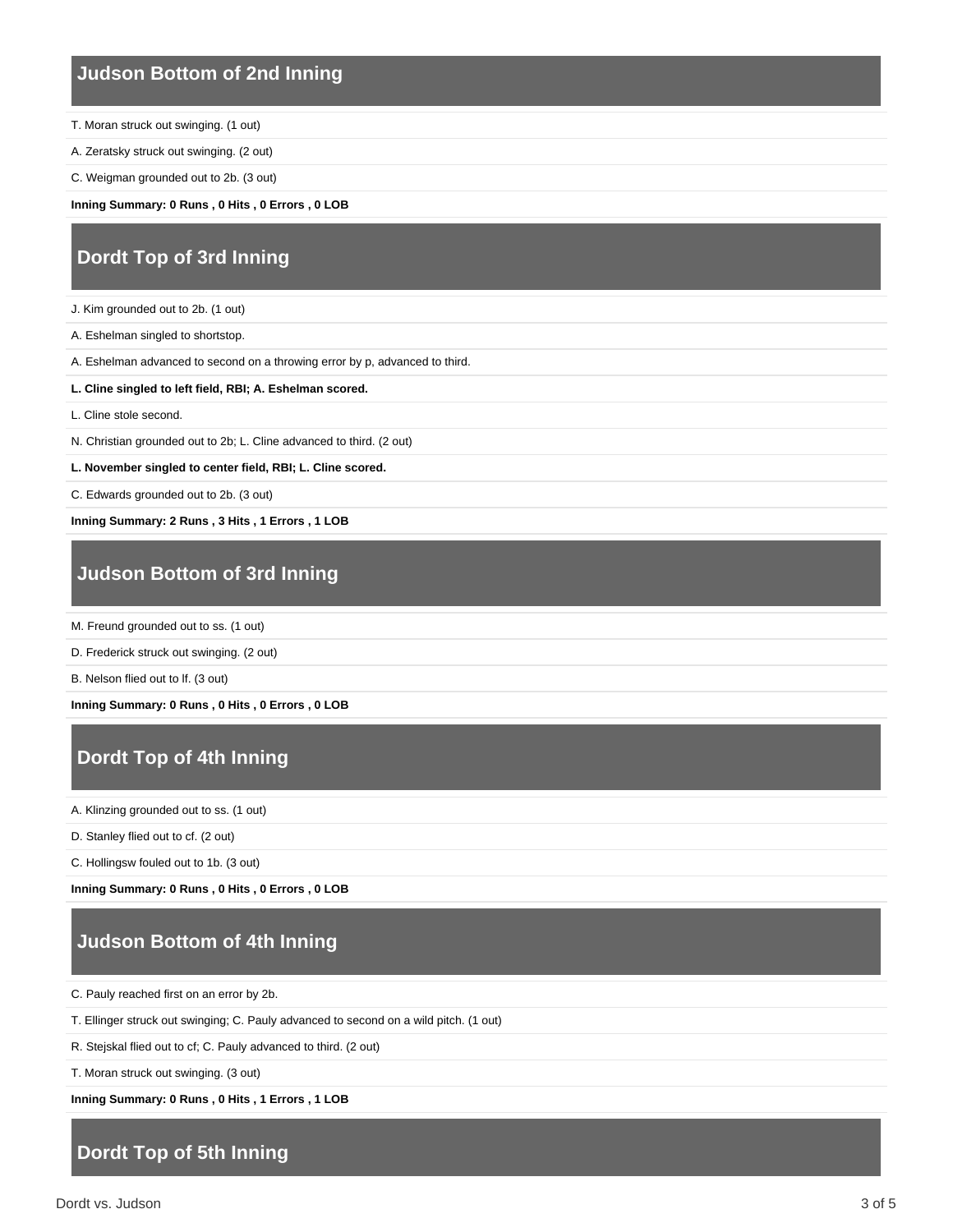#### **Judson Bottom of 2nd Inning**

- T. Moran struck out swinging. (1 out)
- A. Zeratsky struck out swinging. (2 out)
- C. Weigman grounded out to 2b. (3 out)

**Inning Summary: 0 Runs , 0 Hits , 0 Errors , 0 LOB**

# **Dordt Top of 3rd Inning**

- J. Kim grounded out to 2b. (1 out)
- A. Eshelman singled to shortstop.
- A. Eshelman advanced to second on a throwing error by p, advanced to third.
- **L. Cline singled to left field, RBI; A. Eshelman scored.**
- L. Cline stole second.
- N. Christian grounded out to 2b; L. Cline advanced to third. (2 out)
- **L. November singled to center field, RBI; L. Cline scored.**
- C. Edwards grounded out to 2b. (3 out)

**Inning Summary: 2 Runs , 3 Hits , 1 Errors , 1 LOB**

### **Judson Bottom of 3rd Inning**

- M. Freund grounded out to ss. (1 out)
- D. Frederick struck out swinging. (2 out)
- B. Nelson flied out to lf. (3 out)

**Inning Summary: 0 Runs , 0 Hits , 0 Errors , 0 LOB**

# **Dordt Top of 4th Inning**

- A. Klinzing grounded out to ss. (1 out)
- D. Stanley flied out to cf. (2 out)

C. Hollingsw fouled out to 1b. (3 out)

**Inning Summary: 0 Runs , 0 Hits , 0 Errors , 0 LOB**

# **Judson Bottom of 4th Inning**

- C. Pauly reached first on an error by 2b.
- T. Ellinger struck out swinging; C. Pauly advanced to second on a wild pitch. (1 out)
- R. Stejskal flied out to cf; C. Pauly advanced to third. (2 out)

T. Moran struck out swinging. (3 out)

**Inning Summary: 0 Runs , 0 Hits , 1 Errors , 1 LOB**

### **Dordt Top of 5th Inning**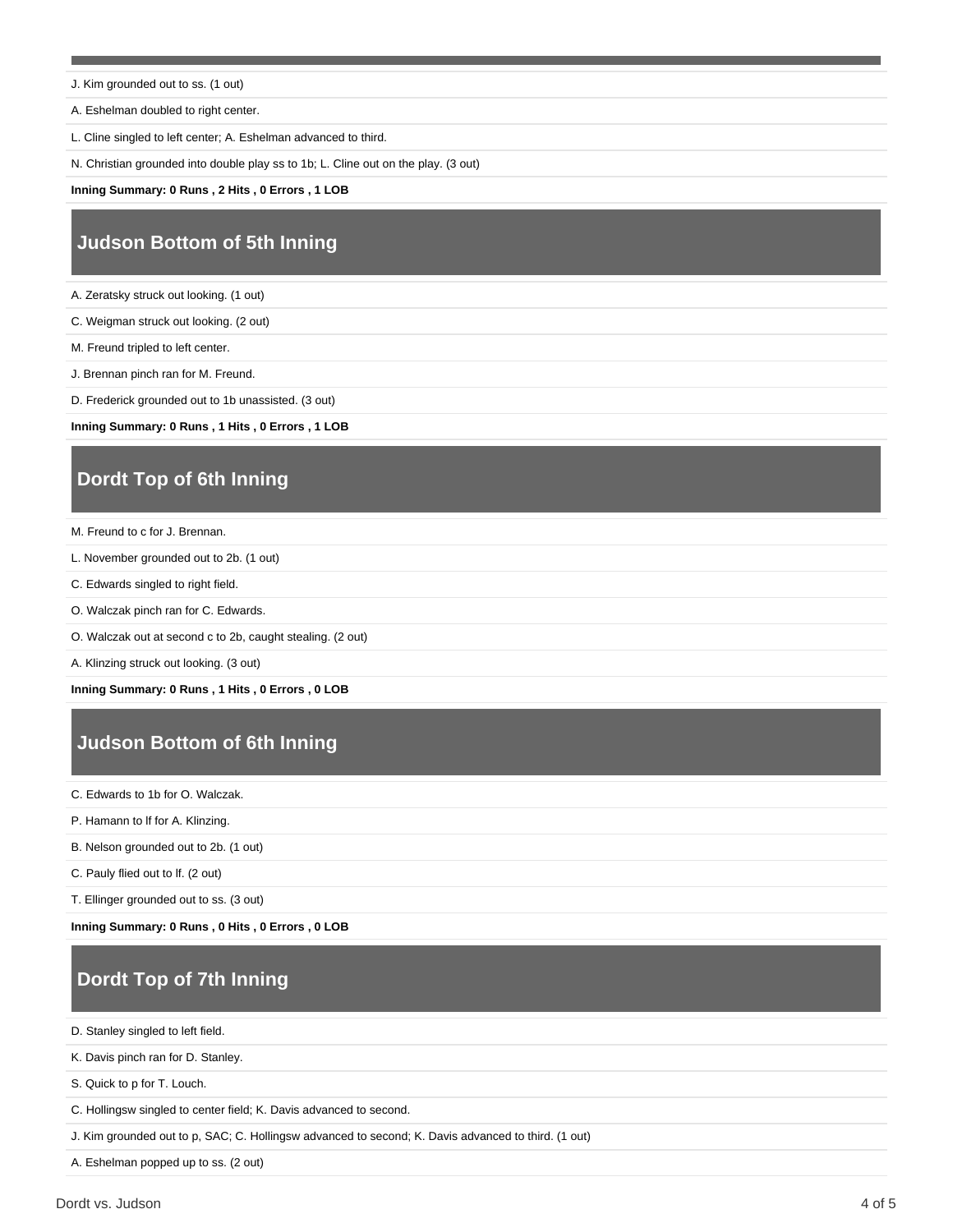J. Kim grounded out to ss. (1 out)

A. Eshelman doubled to right center.

L. Cline singled to left center; A. Eshelman advanced to third.

N. Christian grounded into double play ss to 1b; L. Cline out on the play. (3 out)

**Inning Summary: 0 Runs , 2 Hits , 0 Errors , 1 LOB**

## **Judson Bottom of 5th Inning**

A. Zeratsky struck out looking. (1 out)

C. Weigman struck out looking. (2 out)

M. Freund tripled to left center.

J. Brennan pinch ran for M. Freund.

D. Frederick grounded out to 1b unassisted. (3 out)

**Inning Summary: 0 Runs , 1 Hits , 0 Errors , 1 LOB**

#### **Dordt Top of 6th Inning**

M. Freund to c for J. Brennan.

L. November grounded out to 2b. (1 out)

C. Edwards singled to right field.

O. Walczak pinch ran for C. Edwards.

O. Walczak out at second c to 2b, caught stealing. (2 out)

A. Klinzing struck out looking. (3 out)

**Inning Summary: 0 Runs , 1 Hits , 0 Errors , 0 LOB**

### **Judson Bottom of 6th Inning**

C. Edwards to 1b for O. Walczak.

P. Hamann to lf for A. Klinzing.

B. Nelson grounded out to 2b. (1 out)

C. Pauly flied out to lf. (2 out)

T. Ellinger grounded out to ss. (3 out)

**Inning Summary: 0 Runs , 0 Hits , 0 Errors , 0 LOB**

### **Dordt Top of 7th Inning**

D. Stanley singled to left field.

K. Davis pinch ran for D. Stanley.

S. Quick to p for T. Louch.

C. Hollingsw singled to center field; K. Davis advanced to second.

J. Kim grounded out to p, SAC; C. Hollingsw advanced to second; K. Davis advanced to third. (1 out)

A. Eshelman popped up to ss. (2 out)